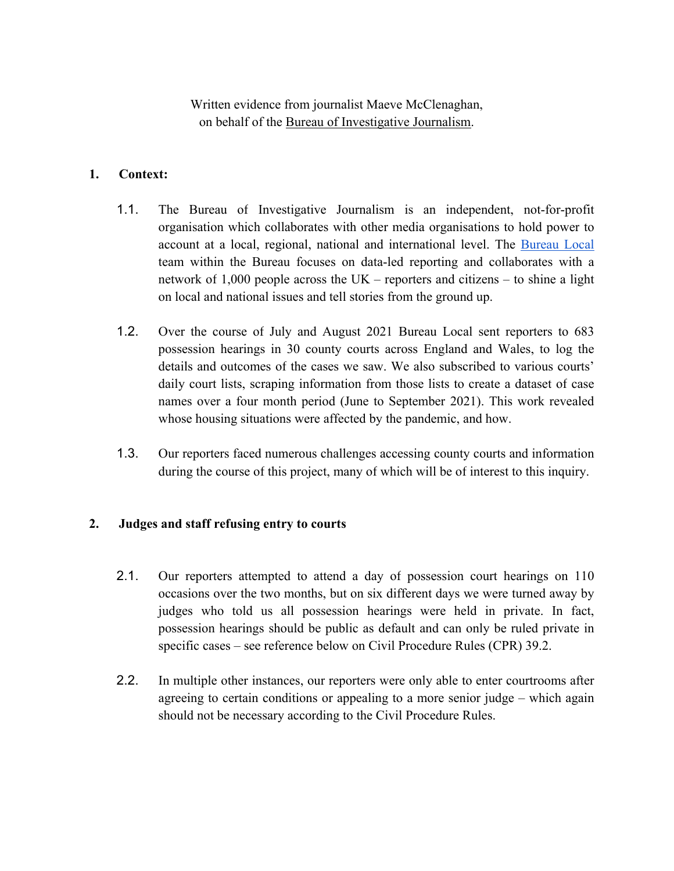Written evidence from journalist Maeve McClenaghan, on behalf of the [Bureau](http://www.tbij.com/) [of](http://www.tbij.com/) [Investigative](http://www.tbij.com/) [Journalism.](http://www.tbij.com/)

# **1. Context:**

- 1.1. The Bureau of Investigative Journalism is an independent, not-for-profit organisation which collaborates with other media organisations to hold power to account at a local, regional, national and international level. The [Bureau](https://www.thebureauinvestigates.com/local) [Local](https://www.thebureauinvestigates.com/local) team within the Bureau focuses on data-led reporting and collaborates with a network of 1,000 people across the UK – reporters and citizens – to shine a light on local and national issues and tell stories from the ground up.
- 1.2. Over the course of July and August 2021 Bureau Local sent reporters to 683 possession hearings in 30 county courts across England and Wales, to log the details and outcomes of the cases we saw. We also subscribed to various courts' daily court lists, scraping information from those lists to create a dataset of case names over a four month period (June to September 2021). This work revealed whose housing situations were affected by the pandemic, and how.
- 1.3. Our reporters faced numerous challenges accessing county courts and information during the course of this project, many of which will be of interest to this inquiry.

# **2. Judges and staff refusing entry to courts**

- 2.1. Our reporters attempted to attend a day of possession court hearings on 110 occasions over the two months, but on six different days we were turned away by judges who told us all possession hearings were held in private. In fact, possession hearings should be public as default and can only be ruled private in specific cases – see reference below on Civil Procedure Rules (CPR) 39.2.
- 2.2. In multiple other instances, our reporters were only able to enter courtrooms after agreeing to certain conditions or appealing to a more senior judge – which again should not be necessary according to the Civil Procedure Rules.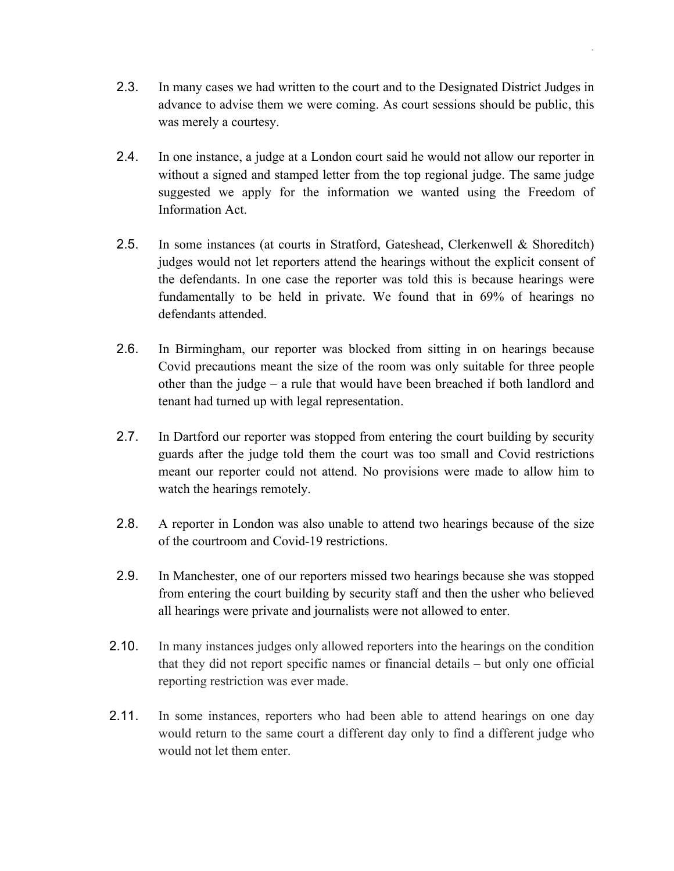2.3. In many cases we had written to the court and to the Designated District Judges in advance to advise them we were coming. As court sessions should be public, this was merely a courtesy.

.

- 2.4. In one instance, a judge at a London court said he would not allow our reporter in without a signed and stamped letter from the top regional judge. The same judge suggested we apply for the information we wanted using the Freedom of Information Act.
- 2.5. In some instances (at courts in Stratford, Gateshead, Clerkenwell & Shoreditch) judges would not let reporters attend the hearings without the explicit consent of the defendants. In one case the reporter was told this is because hearings were fundamentally to be held in private. We found that in 69% of hearings no defendants attended.
- 2.6. In Birmingham, our reporter was blocked from sitting in on hearings because Covid precautions meant the size of the room was only suitable for three people other than the judge – a rule that would have been breached if both landlord and tenant had turned up with legal representation.
- 2.7. In Dartford our reporter was stopped from entering the court building by security guards after the judge told them the court was too small and Covid restrictions meant our reporter could not attend. No provisions were made to allow him to watch the hearings remotely.
- 2.8. A reporter in London was also unable to attend two hearings because of the size of the courtroom and Covid-19 restrictions.
- 2.9. In Manchester, one of our reporters missed two hearings because she was stopped from entering the court building by security staff and then the usher who believed all hearings were private and journalists were not allowed to enter.
- 2.10. In many instances judges only allowed reporters into the hearings on the condition that they did not report specific names or financial details – but only one official reporting restriction was ever made.
- 2.11. In some instances, reporters who had been able to attend hearings on one day would return to the same court a different day only to find a different judge who would not let them enter.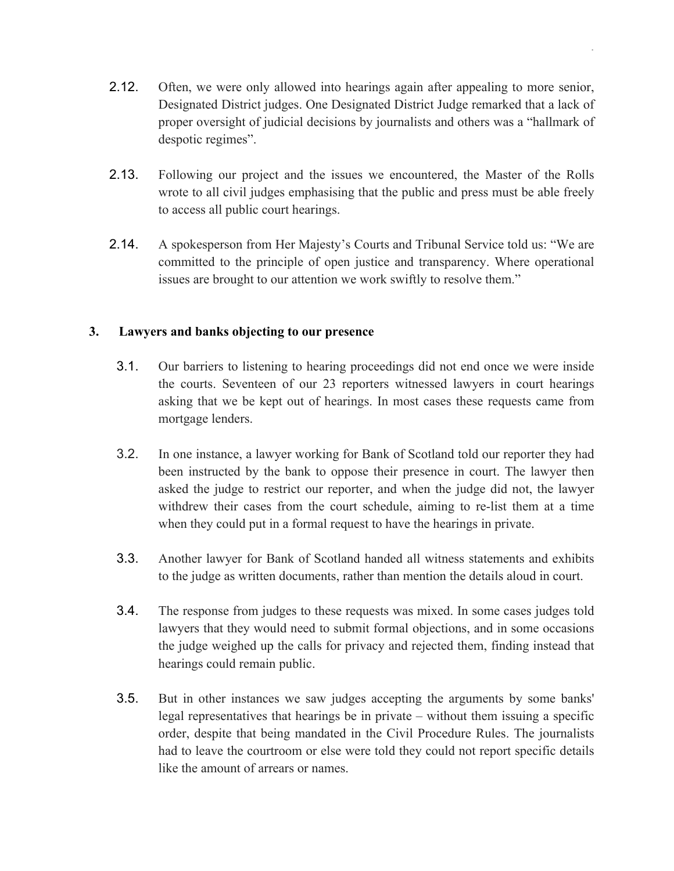2.12. Often, we were only allowed into hearings again after appealing to more senior, Designated District judges. One Designated District Judge remarked that a lack of proper oversight of judicial decisions by journalists and others was a "hallmark of despotic regimes".

.

- 2.13. Following our project and the issues we encountered, the Master of the Rolls wrote to all civil judges emphasising that the public and press must be able freely to access all public court hearings.
- 2.14. A spokesperson from Her Majesty's Courts and Tribunal Service told us: "We are committed to the principle of open justice and transparency. Where operational issues are brought to our attention we work swiftly to resolve them."

# **3. Lawyers and banks objecting to our presence**

- 3.1. Our barriers to listening to hearing proceedings did not end once we were inside the courts. Seventeen of our 23 reporters witnessed lawyers in court hearings asking that we be kept out of hearings. In most cases these requests came from mortgage lenders.
- 3.2. In one instance, a lawyer working for Bank of Scotland told our reporter they had been instructed by the bank to oppose their presence in court. The lawyer then asked the judge to restrict our reporter, and when the judge did not, the lawyer withdrew their cases from the court schedule, aiming to re-list them at a time when they could put in a formal request to have the hearings in private.
- 3.3. Another lawyer for Bank of Scotland handed all witness statements and exhibits to the judge as written documents, rather than mention the details aloud in court.
- 3.4. The response from judges to these requests was mixed. In some cases judges told lawyers that they would need to submit formal objections, and in some occasions the judge weighed up the calls for privacy and rejected them, finding instead that hearings could remain public.
- 3.5. But in other instances we saw judges accepting the arguments by some banks' legal representatives that hearings be in private – without them issuing a specific order, despite that being mandated in the Civil Procedure Rules. The journalists had to leave the courtroom or else were told they could not report specific details like the amount of arrears or names.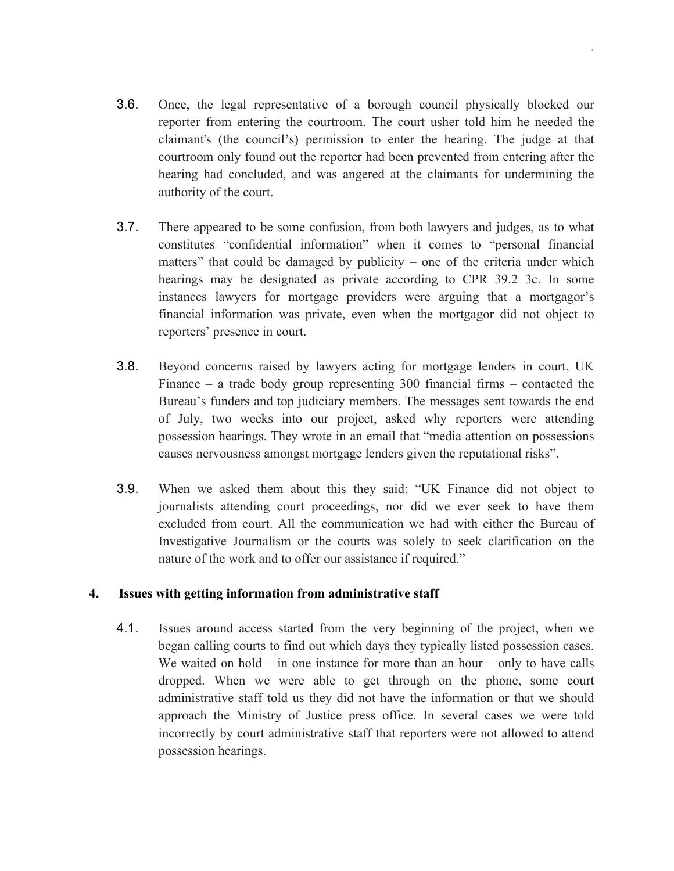3.6. Once, the legal representative of a borough council physically blocked our reporter from entering the courtroom. The court usher told him he needed the claimant's (the council's) permission to enter the hearing. The judge at that courtroom only found out the reporter had been prevented from entering after the hearing had concluded, and was angered at the claimants for undermining the authority of the court.

.

- 3.7. There appeared to be some confusion, from both lawyers and judges, as to what constitutes "confidential information" when it comes to "personal financial matters" that could be damaged by publicity – one of the criteria under which hearings may be designated as private according to CPR 39.2 3c. In some instances lawyers for mortgage providers were arguing that a mortgagor's financial information was private, even when the mortgagor did not object to reporters' presence in court.
- 3.8. Beyond concerns raised by lawyers acting for mortgage lenders in court, UK Finance – a trade body group representing 300 financial firms – contacted the Bureau's funders and top judiciary members. The messages sent towards the end of July, two weeks into our project, asked why reporters were attending possession hearings. They wrote in an email that "media attention on possessions causes nervousness amongst mortgage lenders given the reputational risks".
- 3.9. When we asked them about this they said: "UK Finance did not object to journalists attending court proceedings, nor did we ever seek to have them excluded from court. All the communication we had with either the Bureau of Investigative Journalism or the courts was solely to seek clarification on the nature of the work and to offer our assistance if required."

## **4. Issues with getting information from administrative staff**

4.1. Issues around access started from the very beginning of the project, when we began calling courts to find out which days they typically listed possession cases. We waited on hold – in one instance for more than an hour – only to have calls dropped. When we were able to get through on the phone, some court administrative staff told us they did not have the information or that we should approach the Ministry of Justice press office. In several cases we were told incorrectly by court administrative staff that reporters were not allowed to attend possession hearings.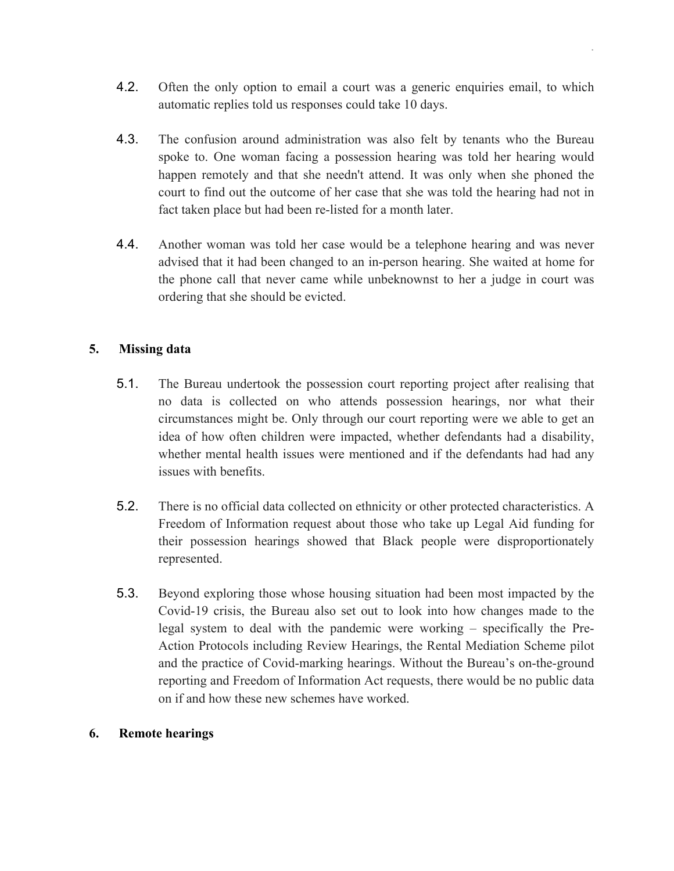4.2. Often the only option to email a court was a generic enquiries email, to which automatic replies told us responses could take 10 days.

.

- 4.3. The confusion around administration was also felt by tenants who the Bureau spoke to. One woman facing a possession hearing was told her hearing would happen remotely and that she needn't attend. It was only when she phoned the court to find out the outcome of her case that she was told the hearing had not in fact taken place but had been re-listed for a month later.
- 4.4. Another woman was told her case would be a telephone hearing and was never advised that it had been changed to an in-person hearing. She waited at home for the phone call that never came while unbeknownst to her a judge in court was ordering that she should be evicted.

# **5. Missing data**

- 5.1. The Bureau undertook the possession court reporting project after realising that no data is collected on who attends possession hearings, nor what their circumstances might be. Only through our court reporting were we able to get an idea of how often children were impacted, whether defendants had a disability, whether mental health issues were mentioned and if the defendants had had any issues with benefits.
- 5.2. There is no official data collected on ethnicity or other protected characteristics. A Freedom of Information request about those who take up Legal Aid funding for their possession hearings showed that Black people were disproportionately represented.
- 5.3. Beyond exploring those whose housing situation had been most impacted by the Covid-19 crisis, the Bureau also set out to look into how changes made to the legal system to deal with the pandemic were working – specifically the Pre-Action Protocols including Review Hearings, the Rental Mediation Scheme pilot and the practice of Covid-marking hearings. Without the Bureau's on-the-ground reporting and Freedom of Information Act requests, there would be no public data on if and how these new schemes have worked.

## **6. Remote hearings**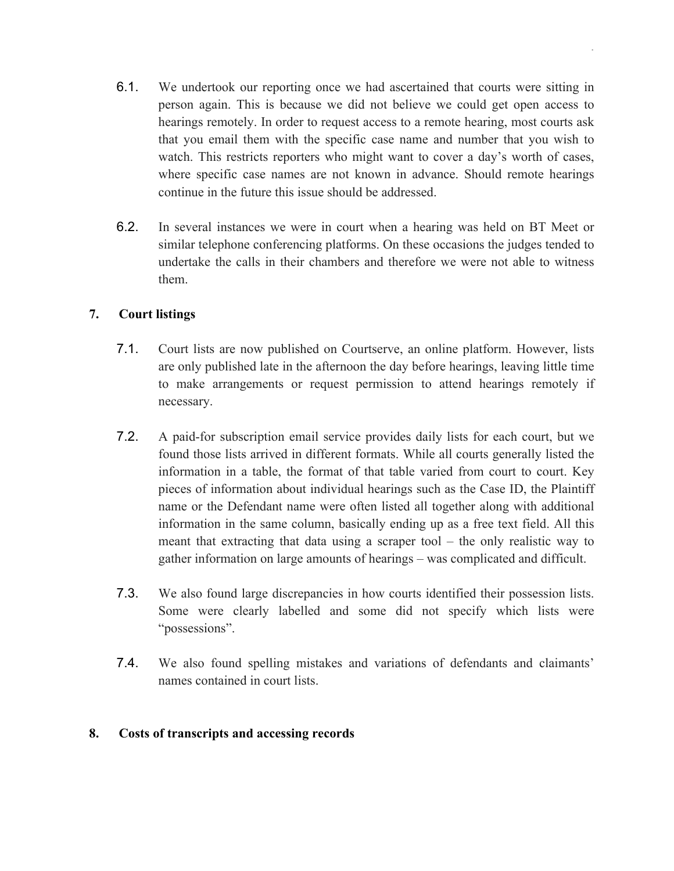6.1. We undertook our reporting once we had ascertained that courts were sitting in person again. This is because we did not believe we could get open access to hearings remotely. In order to request access to a remote hearing, most courts ask that you email them with the specific case name and number that you wish to watch. This restricts reporters who might want to cover a day's worth of cases, where specific case names are not known in advance. Should remote hearings continue in the future this issue should be addressed.

.

6.2. In several instances we were in court when a hearing was held on BT Meet or similar telephone conferencing platforms. On these occasions the judges tended to undertake the calls in their chambers and therefore we were not able to witness them.

# **7. Court listings**

- 7.1. Court lists are now published on Courtserve, an online platform. However, lists are only published late in the afternoon the day before hearings, leaving little time to make arrangements or request permission to attend hearings remotely if necessary.
- 7.2. A paid-for subscription email service provides daily lists for each court, but we found those lists arrived in different formats. While all courts generally listed the information in a table, the format of that table varied from court to court. Key pieces of information about individual hearings such as the Case ID, the Plaintiff name or the Defendant name were often listed all together along with additional information in the same column, basically ending up as a free text field. All this meant that extracting that data using a scraper tool – the only realistic way to gather information on large amounts of hearings – was complicated and difficult.
- 7.3. We also found large discrepancies in how courts identified their possession lists. Some were clearly labelled and some did not specify which lists were "possessions".
- 7.4. We also found spelling mistakes and variations of defendants and claimants' names contained in court lists.

# **8. Costs of transcripts and accessing records**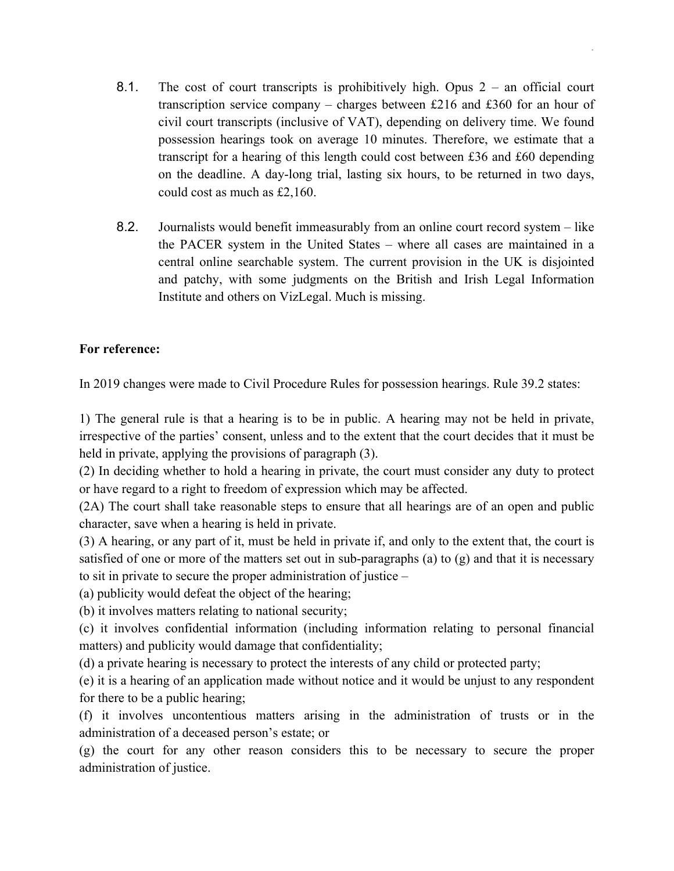8.1. The cost of court transcripts is prohibitively high. Opus 2 – an official court transcription service company – charges between £216 and £360 for an hour of civil court transcripts (inclusive of VAT), depending on delivery time. We found possession hearings took on average 10 minutes. Therefore, we estimate that a transcript for a hearing of this length could cost between £36 and £60 depending on the deadline. A day-long trial, lasting six hours, to be returned in two days, could cost as much as £2,160.

.

8.2. Journalists would benefit immeasurably from an online court record system – like the PACER system in the United States – where all cases are maintained in a central online searchable system. The current provision in the UK is disjointed and patchy, with some judgments on the British and Irish Legal Information Institute and others on VizLegal. Much is missing.

# **For reference:**

In 2019 changes were made to Civil Procedure Rules for possession hearings. Rule 39.2 states:

1) The general rule is that a hearing is to be in public. A hearing may not be held in private, irrespective of the parties' consent, unless and to the extent that the court decides that it must be held in private, applying the provisions of paragraph (3).

(2) In deciding whether to hold a hearing in private, the court must consider any duty to protect or have regard to a right to freedom of expression which may be affected.

(2A) The court shall take reasonable steps to ensure that all hearings are of an open and public character, save when a hearing is held in private.

(3) A hearing, or any part of it, must be held in private if, and only to the extent that, the court is satisfied of one or more of the matters set out in sub-paragraphs (a) to (g) and that it is necessary to sit in private to secure the proper administration of justice –

(a) publicity would defeat the object of the hearing;

(b) it involves matters relating to national security;

(c) it involves confidential information (including information relating to personal financial matters) and publicity would damage that confidentiality;

(d) a private hearing is necessary to protect the interests of any child or protected party;

(e) it is a hearing of an application made without notice and it would be unjust to any respondent for there to be a public hearing;

(f) it involves uncontentious matters arising in the administration of trusts or in the administration of a deceased person's estate; or

(g) the court for any other reason considers this to be necessary to secure the proper administration of justice.